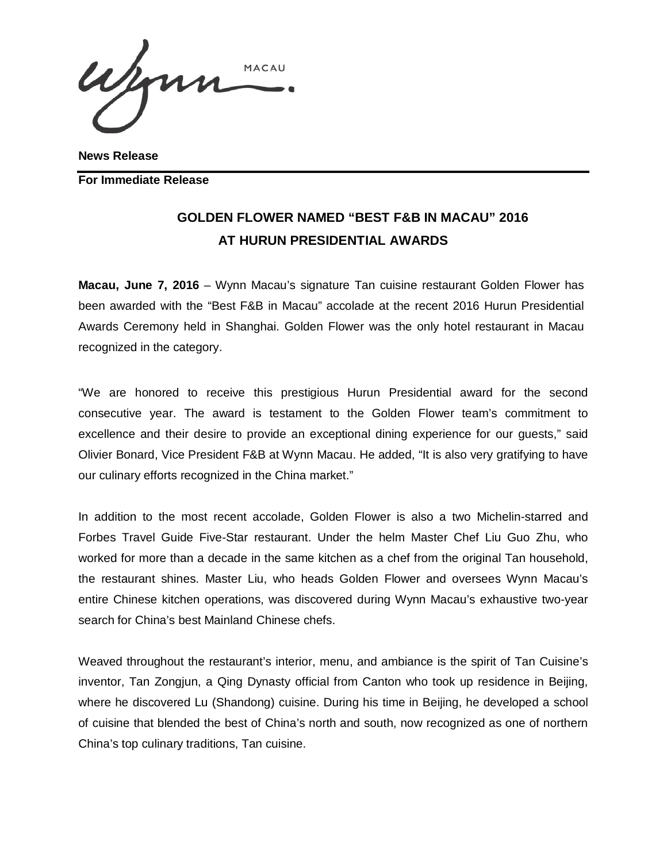Wenn MACAU

**News Release**

**For Immediate Release** 

## **GOLDEN FLOWER NAMED "BEST F&B IN MACAU" 2016 AT HURUN PRESIDENTIAL AWARDS**

**Macau, June 7, 2016** – Wynn Macau's signature Tan cuisine restaurant Golden Flower has been awarded with the "Best F&B in Macau" accolade at the recent 2016 Hurun Presidential Awards Ceremony held in Shanghai. Golden Flower was the only hotel restaurant in Macau recognized in the category.

"We are honored to receive this prestigious Hurun Presidential award for the second consecutive year. The award is testament to the Golden Flower team's commitment to excellence and their desire to provide an exceptional dining experience for our guests," said Olivier Bonard, Vice President F&B at Wynn Macau. He added, "It is also very gratifying to have our culinary efforts recognized in the China market."

In addition to the most recent accolade, Golden Flower is also a two Michelin-starred and Forbes Travel Guide Five-Star restaurant. Under the helm Master Chef Liu Guo Zhu, who worked for more than a decade in the same kitchen as a chef from the original Tan household, the restaurant shines. Master Liu, who heads Golden Flower and oversees Wynn Macau's entire Chinese kitchen operations, was discovered during Wynn Macau's exhaustive two-year search for China's best Mainland Chinese chefs.

Weaved throughout the restaurant's interior, menu, and ambiance is the spirit of Tan Cuisine's inventor, Tan Zongjun, a Qing Dynasty official from Canton who took up residence in Beijing, where he discovered Lu (Shandong) cuisine. During his time in Beijing, he developed a school of cuisine that blended the best of China's north and south, now recognized as one of northern China's top culinary traditions, Tan cuisine.